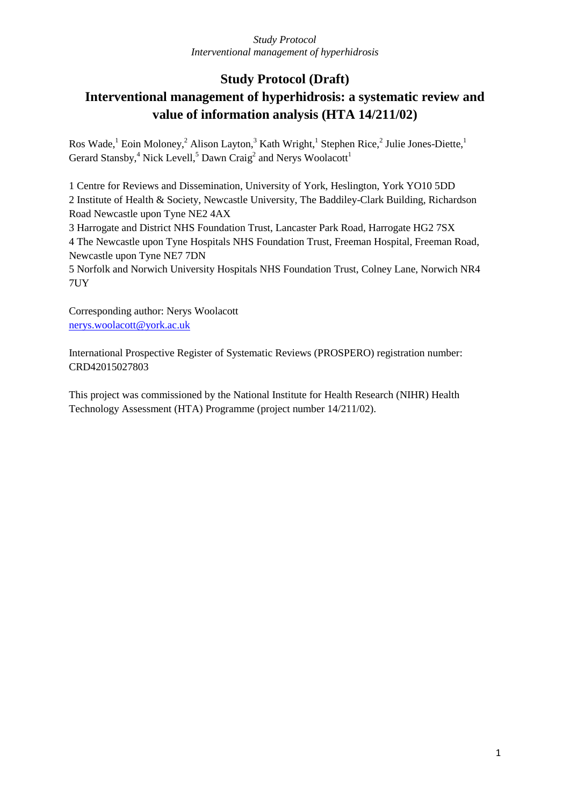# **Study Protocol (Draft)**

# **Interventional management of hyperhidrosis: a systematic review and value of information analysis (HTA 14/211/02)**

Ros Wade,<sup>1</sup> Eoin Moloney,<sup>2</sup> Alison Layton,<sup>3</sup> Kath Wright,<sup>1</sup> Stephen Rice,<sup>2</sup> Julie Jones-Diette,<sup>1</sup> Gerard Stansby,<sup>4</sup> Nick Levell,<sup>5</sup> Dawn Craig<sup>2</sup> and Nerys Woolacott<sup>1</sup>

1 Centre for Reviews and Dissemination, University of York, Heslington, York YO10 5DD 2 Institute of Health & Society, Newcastle University, The Baddiley-Clark Building, Richardson Road Newcastle upon Tyne NE2 4AX

3 Harrogate and District NHS Foundation Trust, Lancaster Park Road, Harrogate HG2 7SX 4 The Newcastle upon Tyne Hospitals NHS Foundation Trust, Freeman Hospital, Freeman Road, Newcastle upon Tyne NE7 7DN

5 Norfolk and Norwich University Hospitals NHS Foundation Trust, Colney Lane, Norwich NR4 7UY

Corresponding author: Nerys Woolacott [nerys.woolacott@york.ac.uk](mailto:nerys.woolacott@york.ac.uk)

International Prospective Register of Systematic Reviews (PROSPERO) registration number: CRD42015027803

This project was commissioned by the National Institute for Health Research (NIHR) Health Technology Assessment (HTA) Programme (project number 14/211/02).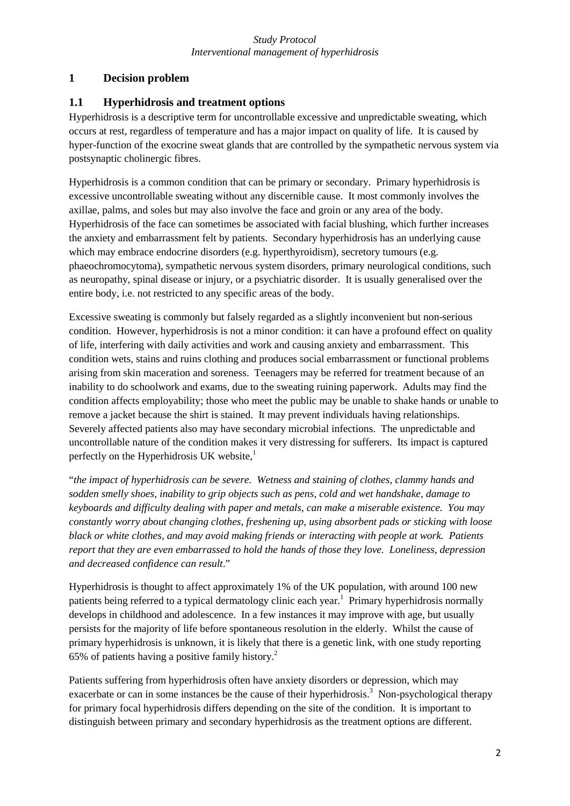# **1 Decision problem**

### **1.1 Hyperhidrosis and treatment options**

Hyperhidrosis is a descriptive term for uncontrollable excessive and unpredictable sweating, which occurs at rest, regardless of temperature and has a major impact on quality of life. It is caused by hyper-function of the exocrine sweat glands that are controlled by the sympathetic nervous system via postsynaptic cholinergic fibres.

Hyperhidrosis is a common condition that can be primary or secondary. Primary hyperhidrosis is excessive uncontrollable sweating without any discernible cause. It most commonly involves the axillae, palms, and soles but may also involve the face and groin or any area of the body. Hyperhidrosis of the face can sometimes be associated with facial blushing, which further increases the anxiety and embarrassment felt by patients. Secondary hyperhidrosis has an underlying cause which may embrace endocrine disorders (e.g. hyperthyroidism), secretory tumours (e.g. phaeochromocytoma), sympathetic nervous system disorders, primary neurological conditions, such as neuropathy, spinal disease or injury, or a psychiatric disorder. It is usually generalised over the entire body, i.e. not restricted to any specific areas of the body.

Excessive sweating is commonly but falsely regarded as a slightly inconvenient but non-serious condition. However, hyperhidrosis is not a minor condition: it can have a profound effect on quality of life, interfering with daily activities and work and causing anxiety and embarrassment. This condition wets, stains and ruins clothing and produces social embarrassment or functional problems arising from skin maceration and soreness. Teenagers may be referred for treatment because of an inability to do schoolwork and exams, due to the sweating ruining paperwork. Adults may find the condition affects employability; those who meet the public may be unable to shake hands or unable to remove a jacket because the shirt is stained. It may prevent individuals having relationships. Severely affected patients also may have secondary microbial infections. The unpredictable and uncontrollable nature of the condition makes it very distressing for sufferers. Its impact is captured perfectly on the Hyperhidrosis UK website,<sup>1</sup>

"*the impact of hyperhidrosis can be severe. Wetness and staining of clothes, clammy hands and sodden smelly shoes, inability to grip objects such as pens, cold and wet handshake, damage to keyboards and difficulty dealing with paper and metals, can make a miserable existence. You may constantly worry about changing clothes, freshening up, using absorbent pads or sticking with loose black or white clothes, and may avoid making friends or interacting with people at work. Patients report that they are even embarrassed to hold the hands of those they love. Loneliness, depression and decreased confidence can result*."

Hyperhidrosis is thought to affect approximately 1% of the UK population, with around 100 new patients being referred to a typical dermatology clinic each year.<sup>1</sup> Primary hyperhidrosis normally develops in childhood and adolescence. In a few instances it may improve with age, but usually persists for the majority of life before spontaneous resolution in the elderly. Whilst the cause of primary hyperhidrosis is unknown, it is likely that there is a genetic link, with one study reporting 65% of patients having a positive family history.<sup>2</sup>

Patients suffering from hyperhidrosis often have anxiety disorders or depression, which may exacerbate or can in some instances be the cause of their hyperhidrosis.<sup>3</sup> Non-psychological therapy for primary focal hyperhidrosis differs depending on the site of the condition. It is important to distinguish between primary and secondary hyperhidrosis as the treatment options are different.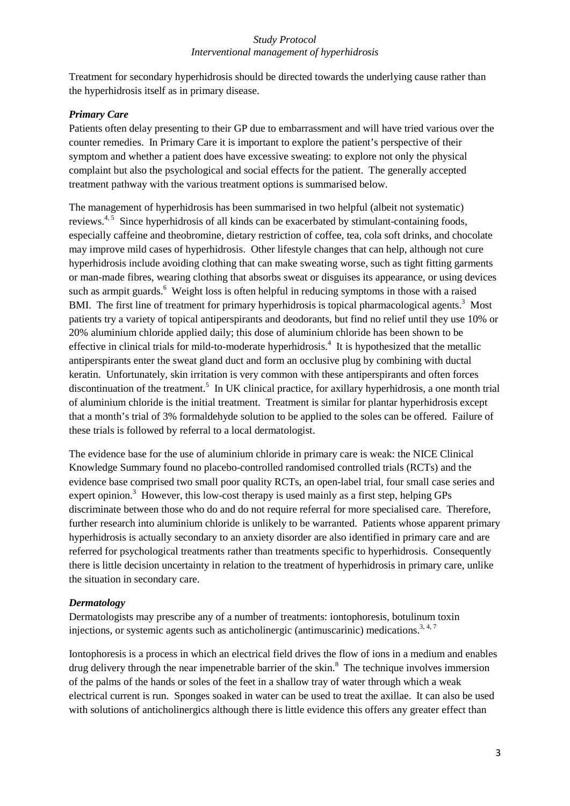Treatment for secondary hyperhidrosis should be directed towards the underlying cause rather than the hyperhidrosis itself as in primary disease.

### *Primary Care*

Patients often delay presenting to their GP due to embarrassment and will have tried various over the counter remedies. In Primary Care it is important to explore the patient's perspective of their symptom and whether a patient does have excessive sweating: to explore not only the physical complaint but also the psychological and social effects for the patient. The generally accepted treatment pathway with the various treatment options is summarised below.

The management of hyperhidrosis has been summarised in two helpful (albeit not systematic) reviews.<sup>4, 5</sup> Since hyperhidrosis of all kinds can be exacerbated by stimulant-containing foods, especially caffeine and theobromine, dietary restriction of coffee, tea, cola soft drinks, and chocolate may improve mild cases of hyperhidrosis. Other lifestyle changes that can help, although not cure hyperhidrosis include avoiding clothing that can make sweating worse, such as tight fitting garments or man-made fibres, wearing clothing that absorbs sweat or disguises its appearance, or using devices such as armpit guards.<sup>6</sup> Weight loss is often helpful in reducing symptoms in those with a raised BMI. The first line of treatment for primary hyperhidrosis is topical pharmacological agents.<sup>3</sup> Most patients try a variety of topical antiperspirants and deodorants, but find no relief until they use 10% or 20% aluminium chloride applied daily; this dose of aluminium chloride has been shown to be effective in clinical trials for mild-to-moderate hyperhidrosis.<sup>4</sup> It is hypothesized that the metallic antiperspirants enter the sweat gland duct and form an occlusive plug by combining with ductal keratin. Unfortunately, skin irritation is very common with these antiperspirants and often forces discontinuation of the treatment.<sup>5</sup> In UK clinical practice, for axillary hyperhidrosis, a one month trial of aluminium chloride is the initial treatment. Treatment is similar for plantar hyperhidrosis except that a month's trial of 3% formaldehyde solution to be applied to the soles can be offered. Failure of these trials is followed by referral to a local dermatologist.

The evidence base for the use of aluminium chloride in primary care is weak: the NICE Clinical Knowledge Summary found no placebo-controlled randomised controlled trials (RCTs) and the evidence base comprised two small poor quality RCTs, an open-label trial, four small case series and expert opinion.<sup>3</sup> However, this low-cost therapy is used mainly as a first step, helping GPs discriminate between those who do and do not require referral for more specialised care. Therefore, further research into aluminium chloride is unlikely to be warranted. Patients whose apparent primary hyperhidrosis is actually secondary to an anxiety disorder are also identified in primary care and are referred for psychological treatments rather than treatments specific to hyperhidrosis. Consequently there is little decision uncertainty in relation to the treatment of hyperhidrosis in primary care, unlike the situation in secondary care.

### *Dermatology*

Dermatologists may prescribe any of a number of treatments: iontophoresis, botulinum toxin injections, or systemic agents such as anticholinergic (antimuscarinic) medications.<sup>3, 4, 7</sup>

Iontophoresis is a process in which an electrical field drives the flow of ions in a medium and enables drug delivery through the near impenetrable barrier of the skin.<sup>8</sup> The technique involves immersion of the palms of the hands or soles of the feet in a shallow tray of water through which a weak electrical current is run. Sponges soaked in water can be used to treat the axillae. It can also be used with solutions of anticholinergics although there is little evidence this offers any greater effect than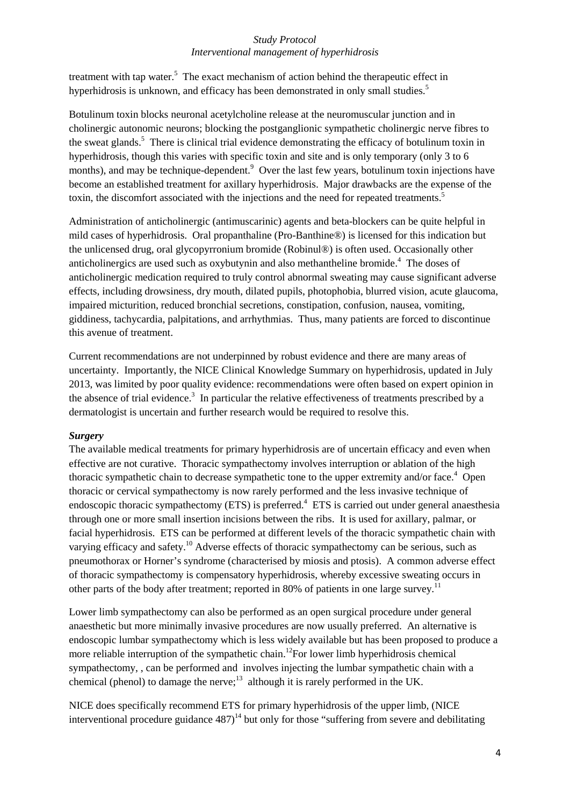treatment with tap water.<sup>5</sup> The exact mechanism of action behind the therapeutic effect in hyperhidrosis is unknown, and efficacy has been demonstrated in only small studies.<sup>5</sup>

Botulinum toxin blocks neuronal acetylcholine release at the neuromuscular junction and in cholinergic autonomic neurons; blocking the postganglionic sympathetic cholinergic nerve fibres to the sweat glands.<sup>5</sup> There is clinical trial evidence demonstrating the efficacy of botulinum toxin in hyperhidrosis, though this varies with specific toxin and site and is only temporary (only 3 to 6 months), and may be technique-dependent.<sup>9</sup> Over the last few years, botulinum toxin injections have become an established treatment for axillary hyperhidrosis. Major drawbacks are the expense of the toxin, the discomfort associated with the injections and the need for repeated treatments.<sup>5</sup>

Administration of anticholinergic (antimuscarinic) agents and beta-blockers can be quite helpful in mild cases of hyperhidrosis. Oral propanthaline (Pro-Banthine®) is licensed for this indication but the unlicensed drug, oral glycopyrronium bromide (Robinul®) is often used. Occasionally other anticholinergics are used such as oxybutynin and also methantheline bromide.<sup>4</sup> The doses of anticholinergic medication required to truly control abnormal sweating may cause significant adverse effects, including drowsiness, dry mouth, dilated pupils, photophobia, blurred vision, acute glaucoma, impaired micturition, reduced bronchial secretions, constipation, confusion, nausea, vomiting, giddiness, tachycardia, palpitations, and arrhythmias. Thus, many patients are forced to discontinue this avenue of treatment.

Current recommendations are not underpinned by robust evidence and there are many areas of uncertainty. Importantly, the NICE Clinical Knowledge Summary on hyperhidrosis, updated in July 2013, was limited by poor quality evidence: recommendations were often based on expert opinion in the absence of trial evidence.<sup>3</sup> In particular the relative effectiveness of treatments prescribed by a dermatologist is uncertain and further research would be required to resolve this.

### *Surgery*

The available medical treatments for primary hyperhidrosis are of uncertain efficacy and even when effective are not curative. Thoracic sympathectomy involves interruption or ablation of the high thoracic sympathetic chain to decrease sympathetic tone to the upper extremity and/or face.<sup>4</sup> Open thoracic or cervical sympathectomy is now rarely performed and the less invasive technique of endoscopic thoracic sympathectomy  $(ETS)$  is preferred.<sup>4</sup> ETS is carried out under general anaesthesia through one or more small insertion incisions between the ribs. It is used for axillary, palmar, or facial hyperhidrosis. ETS can be performed at different levels of the thoracic sympathetic chain with varying efficacy and safety.<sup>10</sup> Adverse effects of thoracic sympathectomy can be serious, such as pneumothorax or Horner's syndrome (characterised by miosis and ptosis). A common adverse effect of thoracic sympathectomy is compensatory hyperhidrosis, whereby excessive sweating occurs in other parts of the body after treatment; reported in 80% of patients in one large survey.<sup>11</sup>

Lower limb sympathectomy can also be performed as an open surgical procedure under general anaesthetic but more minimally invasive procedures are now usually preferred. An alternative is endoscopic lumbar sympathectomy which is less widely available but has been proposed to produce a more reliable interruption of the sympathetic chain.<sup>12</sup>For lower limb hyperhidrosis chemical sympathectomy, , can be performed and involves injecting the lumbar sympathetic chain with a chemical (phenol) to damage the nerve;<sup>13</sup> although it is rarely performed in the UK.

NICE does specifically recommend ETS for primary hyperhidrosis of the upper limb, (NICE interventional procedure guidance  $487$ <sup> $14$ </sup> but only for those "suffering from severe and debilitating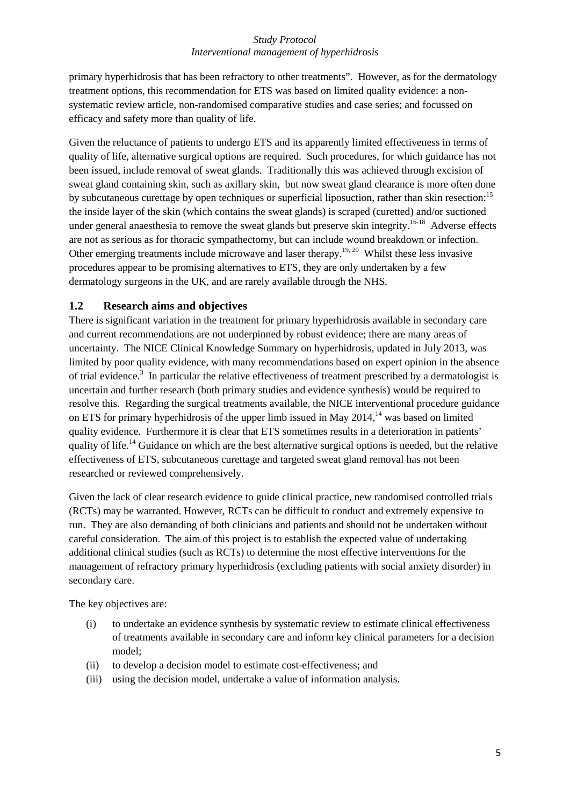primary hyperhidrosis that has been refractory to other treatments". However, as for the dermatology treatment options, this recommendation for ETS was based on limited quality evidence: a nonsystematic review article, non-randomised comparative studies and case series; and focussed on efficacy and safety more than quality of life.

Given the reluctance of patients to undergo ETS and its apparently limited effectiveness in terms of quality of life, alternative surgical options are required. Such procedures, for which guidance has not been issued, include removal of sweat glands. Traditionally this was achieved through excision of sweat gland containing skin, such as axillary skin, but now sweat gland clearance is more often done by subcutaneous curettage by open techniques or superficial liposuction, rather than skin resection:<sup>15</sup> the inside layer of the skin (which contains the sweat glands) is scraped (curetted) and/or suctioned under general anaesthesia to remove the sweat glands but preserve skin integrity.<sup>16-18</sup> Adverse effects are not as serious as for thoracic sympathectomy, but can include wound breakdown or infection. Other emerging treatments include microwave and laser therapy.<sup>19, 20</sup> Whilst these less invasive procedures appear to be promising alternatives to ETS, they are only undertaken by a few dermatology surgeons in the UK, and are rarely available through the NHS.

### **1.2 Research aims and objectives**

There is significant variation in the treatment for primary hyperhidrosis available in secondary care and current recommendations are not underpinned by robust evidence; there are many areas of uncertainty. The NICE Clinical Knowledge Summary on hyperhidrosis, updated in July 2013, was limited by poor quality evidence, with many recommendations based on expert opinion in the absence of trial evidence.3 In particular the relative effectiveness of treatment prescribed by a dermatologist is uncertain and further research (both primary studies and evidence synthesis) would be required to resolve this. Regarding the surgical treatments available, the NICE interventional procedure guidance on ETS for primary hyperhidrosis of the upper limb issued in May  $2014<sup>14</sup>$  was based on limited quality evidence. Furthermore it is clear that ETS sometimes results in a deterioration in patients' quality of life.<sup>14</sup> Guidance on which are the best alternative surgical options is needed, but the relative effectiveness of ETS, subcutaneous curettage and targeted sweat gland removal has not been researched or reviewed comprehensively.

Given the lack of clear research evidence to guide clinical practice, new randomised controlled trials (RCTs) may be warranted. However, RCTs can be difficult to conduct and extremely expensive to run. They are also demanding of both clinicians and patients and should not be undertaken without careful consideration. The aim of this project is to establish the expected value of undertaking additional clinical studies (such as RCTs) to determine the most effective interventions for the management of refractory primary hyperhidrosis (excluding patients with social anxiety disorder) in secondary care.

The key objectives are:

- (i) to undertake an evidence synthesis by systematic review to estimate clinical effectiveness of treatments available in secondary care and inform key clinical parameters for a decision model;
- (ii) to develop a decision model to estimate cost-effectiveness; and
- (iii) using the decision model, undertake a value of information analysis.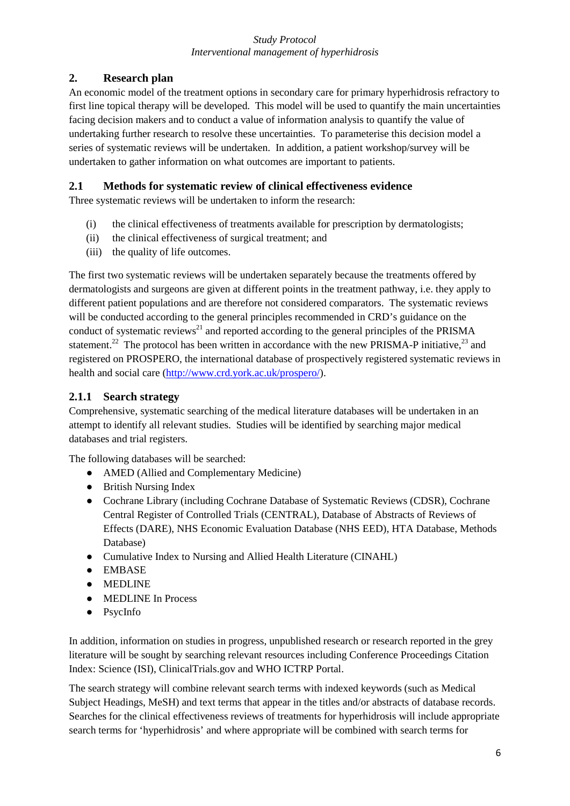# **2. Research plan**

An economic model of the treatment options in secondary care for primary hyperhidrosis refractory to first line topical therapy will be developed. This model will be used to quantify the main uncertainties facing decision makers and to conduct a value of information analysis to quantify the value of undertaking further research to resolve these uncertainties. To parameterise this decision model a series of systematic reviews will be undertaken. In addition, a patient workshop/survey will be undertaken to gather information on what outcomes are important to patients.

# **2.1 Methods for systematic review of clinical effectiveness evidence**

Three systematic reviews will be undertaken to inform the research:

- (i) the clinical effectiveness of treatments available for prescription by dermatologists;
- (ii) the clinical effectiveness of surgical treatment; and
- (iii) the quality of life outcomes.

The first two systematic reviews will be undertaken separately because the treatments offered by dermatologists and surgeons are given at different points in the treatment pathway, i.e. they apply to different patient populations and are therefore not considered comparators. The systematic reviews will be conducted according to the general principles recommended in CRD's guidance on the conduct of systematic reviews<sup>21</sup> and reported according to the general principles of the PRISMA statement.<sup>22</sup> The protocol has been written in accordance with the new PRISMA-P initiative,<sup>23</sup> and registered on PROSPERO, the international database of prospectively registered systematic reviews in health and social care [\(http://www.crd.york.ac.uk/prospero/\)](http://www.crd.york.ac.uk/prospero/).

# **2.1.1 Search strategy**

Comprehensive, systematic searching of the medical literature databases will be undertaken in an attempt to identify all relevant studies. Studies will be identified by searching major medical databases and trial registers.

The following databases will be searched:

- AMED (Allied and Complementary Medicine)
- British Nursing Index
- Cochrane Library (including Cochrane Database of Systematic Reviews (CDSR), Cochrane Central Register of Controlled Trials (CENTRAL), Database of Abstracts of Reviews of Effects (DARE), NHS Economic Evaluation Database (NHS EED), HTA Database, Methods Database)
- Cumulative Index to Nursing and Allied Health Literature (CINAHL)
- EMBASE
- MEDLINE
- MEDLINE In Process
- PsycInfo

In addition, information on studies in progress, unpublished research or research reported in the grey literature will be sought by searching relevant resources including Conference Proceedings Citation Index: Science (ISI), ClinicalTrials.gov and WHO ICTRP Portal.

The search strategy will combine relevant search terms with indexed keywords (such as Medical Subject Headings, MeSH) and text terms that appear in the titles and/or abstracts of database records. Searches for the clinical effectiveness reviews of treatments for hyperhidrosis will include appropriate search terms for 'hyperhidrosis' and where appropriate will be combined with search terms for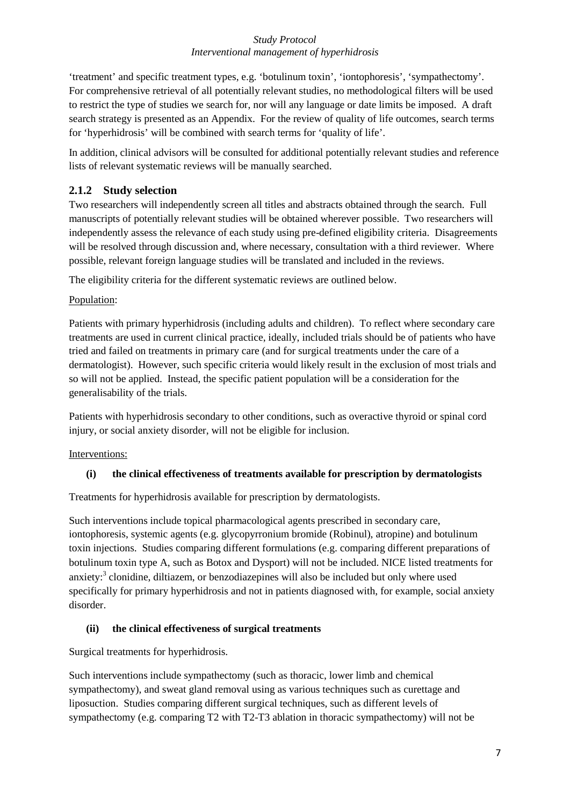'treatment' and specific treatment types, e.g. 'botulinum toxin', 'iontophoresis', 'sympathectomy'. For comprehensive retrieval of all potentially relevant studies, no methodological filters will be used to restrict the type of studies we search for, nor will any language or date limits be imposed. A draft search strategy is presented as an Appendix. For the review of quality of life outcomes, search terms for 'hyperhidrosis' will be combined with search terms for 'quality of life'.

In addition, clinical advisors will be consulted for additional potentially relevant studies and reference lists of relevant systematic reviews will be manually searched.

# **2.1.2 Study selection**

Two researchers will independently screen all titles and abstracts obtained through the search. Full manuscripts of potentially relevant studies will be obtained wherever possible. Two researchers will independently assess the relevance of each study using pre-defined eligibility criteria. Disagreements will be resolved through discussion and, where necessary, consultation with a third reviewer. Where possible, relevant foreign language studies will be translated and included in the reviews.

The eligibility criteria for the different systematic reviews are outlined below.

### Population:

Patients with primary hyperhidrosis (including adults and children). To reflect where secondary care treatments are used in current clinical practice, ideally, included trials should be of patients who have tried and failed on treatments in primary care (and for surgical treatments under the care of a dermatologist). However, such specific criteria would likely result in the exclusion of most trials and so will not be applied. Instead, the specific patient population will be a consideration for the generalisability of the trials.

Patients with hyperhidrosis secondary to other conditions, such as overactive thyroid or spinal cord injury, or social anxiety disorder, will not be eligible for inclusion.

### Interventions:

### **(i) the clinical effectiveness of treatments available for prescription by dermatologists**

Treatments for hyperhidrosis available for prescription by dermatologists.

Such interventions include topical pharmacological agents prescribed in secondary care, iontophoresis, systemic agents (e.g. glycopyrronium bromide (Robinul), atropine) and botulinum toxin injections. Studies comparing different formulations (e.g. comparing different preparations of botulinum toxin type A, such as Botox and Dysport) will not be included. NICE listed treatments for anxiety: $3$  clonidine, diltiazem, or benzodiazepines will also be included but only where used specifically for primary hyperhidrosis and not in patients diagnosed with, for example, social anxiety disorder.

# **(ii) the clinical effectiveness of surgical treatments**

Surgical treatments for hyperhidrosis.

Such interventions include sympathectomy (such as thoracic, lower limb and chemical sympathectomy), and sweat gland removal using as various techniques such as curettage and liposuction. Studies comparing different surgical techniques, such as different levels of sympathectomy (e.g. comparing T2 with T2-T3 ablation in thoracic sympathectomy) will not be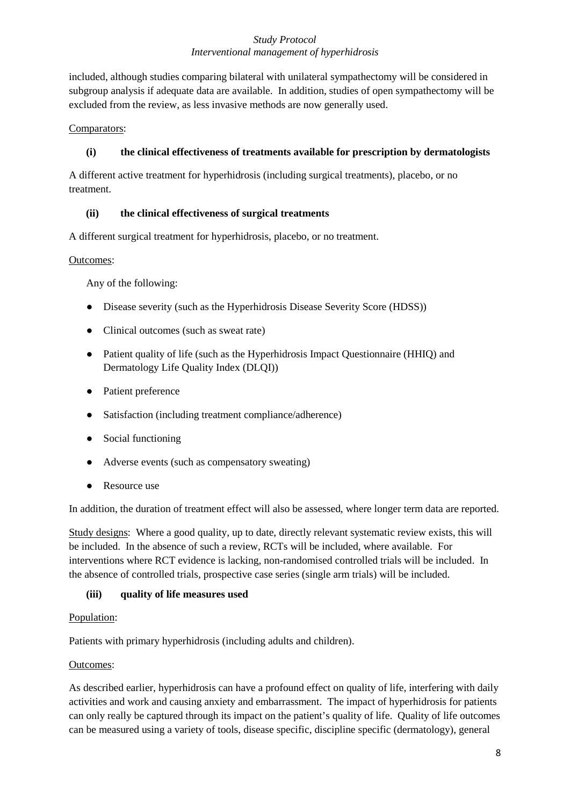included, although studies comparing bilateral with unilateral sympathectomy will be considered in subgroup analysis if adequate data are available. In addition, studies of open sympathectomy will be excluded from the review, as less invasive methods are now generally used.

### Comparators:

### **(i) the clinical effectiveness of treatments available for prescription by dermatologists**

A different active treatment for hyperhidrosis (including surgical treatments), placebo, or no treatment.

### **(ii) the clinical effectiveness of surgical treatments**

A different surgical treatment for hyperhidrosis, placebo, or no treatment.

### Outcomes:

Any of the following:

- Disease severity (such as the Hyperhidrosis Disease Severity Score (HDSS))
- Clinical outcomes (such as sweat rate)
- Patient quality of life (such as the Hyperhidrosis Impact Questionnaire (HHIQ) and Dermatology Life Quality Index (DLQI))
- Patient preference
- Satisfaction (including treatment compliance/adherence)
- Social functioning
- Adverse events (such as compensatory sweating)
- Resource use

In addition, the duration of treatment effect will also be assessed, where longer term data are reported.

Study designs: Where a good quality, up to date, directly relevant systematic review exists, this will be included. In the absence of such a review, RCTs will be included, where available. For interventions where RCT evidence is lacking, non-randomised controlled trials will be included. In the absence of controlled trials, prospective case series (single arm trials) will be included.

# **(iii) quality of life measures used**

### Population:

Patients with primary hyperhidrosis (including adults and children).

### Outcomes:

As described earlier, hyperhidrosis can have a profound effect on quality of life, interfering with daily activities and work and causing anxiety and embarrassment. The impact of hyperhidrosis for patients can only really be captured through its impact on the patient's quality of life. Quality of life outcomes can be measured using a variety of tools, disease specific, discipline specific (dermatology), general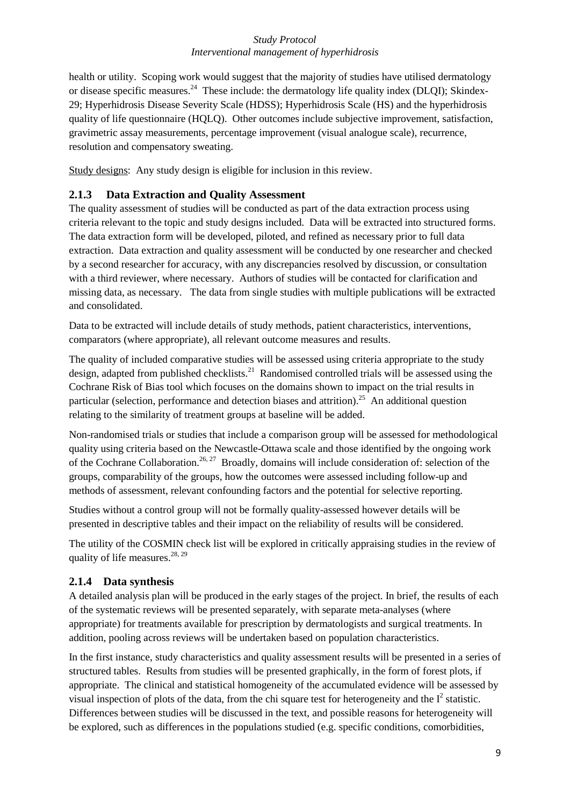health or utility. Scoping work would suggest that the majority of studies have utilised dermatology or disease specific measures.<sup>24</sup> These include: the dermatology life quality index (DLQI); Skindex-29; Hyperhidrosis Disease Severity Scale (HDSS); Hyperhidrosis Scale (HS) and the hyperhidrosis quality of life questionnaire (HQLQ). Other outcomes include subjective improvement, satisfaction, gravimetric assay measurements, percentage improvement (visual analogue scale), recurrence, resolution and compensatory sweating.

Study designs: Any study design is eligible for inclusion in this review.

# **2.1.3 Data Extraction and Quality Assessment**

The quality assessment of studies will be conducted as part of the data extraction process using criteria relevant to the topic and study designs included. Data will be extracted into structured forms. The data extraction form will be developed, piloted, and refined as necessary prior to full data extraction. Data extraction and quality assessment will be conducted by one researcher and checked by a second researcher for accuracy, with any discrepancies resolved by discussion, or consultation with a third reviewer, where necessary. Authors of studies will be contacted for clarification and missing data, as necessary. The data from single studies with multiple publications will be extracted and consolidated.

Data to be extracted will include details of study methods, patient characteristics, interventions, comparators (where appropriate), all relevant outcome measures and results.

The quality of included comparative studies will be assessed using criteria appropriate to the study design, adapted from published checklists.<sup>21</sup> Randomised controlled trials will be assessed using the Cochrane Risk of Bias tool which focuses on the domains shown to impact on the trial results in particular (selection, performance and detection biases and attrition).<sup>25</sup> An additional question relating to the similarity of treatment groups at baseline will be added.

Non-randomised trials or studies that include a comparison group will be assessed for methodological quality using criteria based on the Newcastle-Ottawa scale and those identified by the ongoing work of the Cochrane Collaboration.<sup>26, 27</sup> Broadly, domains will include consideration of: selection of the groups, comparability of the groups, how the outcomes were assessed including follow-up and methods of assessment, relevant confounding factors and the potential for selective reporting.

Studies without a control group will not be formally quality-assessed however details will be presented in descriptive tables and their impact on the reliability of results will be considered.

The utility of the COSMIN check list will be explored in critically appraising studies in the review of quality of life measures.<sup>28, 29</sup>

# **2.1.4 Data synthesis**

A detailed analysis plan will be produced in the early stages of the project. In brief, the results of each of the systematic reviews will be presented separately, with separate meta-analyses (where appropriate) for treatments available for prescription by dermatologists and surgical treatments. In addition, pooling across reviews will be undertaken based on population characteristics.

In the first instance, study characteristics and quality assessment results will be presented in a series of structured tables. Results from studies will be presented graphically, in the form of forest plots, if appropriate. The clinical and statistical homogeneity of the accumulated evidence will be assessed by visual inspection of plots of the data, from the chi square test for heterogeneity and the  $I<sup>2</sup>$  statistic. Differences between studies will be discussed in the text, and possible reasons for heterogeneity will be explored, such as differences in the populations studied (e.g. specific conditions, comorbidities,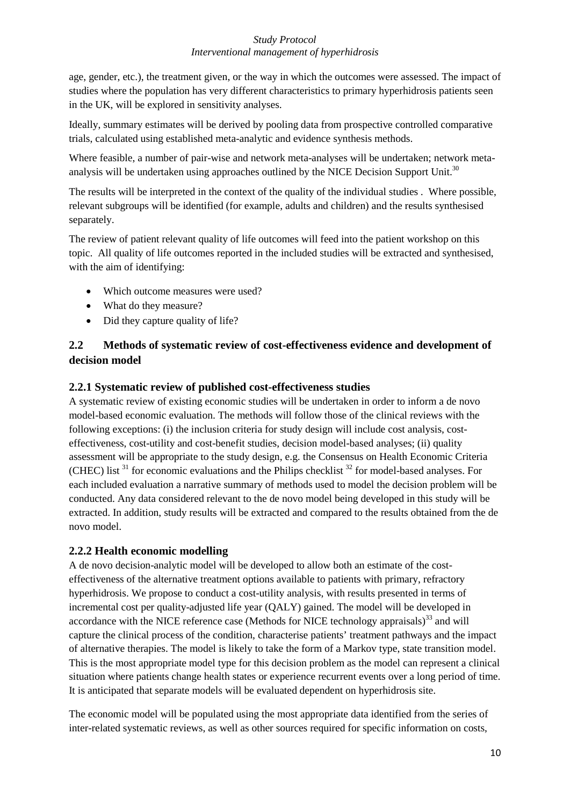age, gender, etc.), the treatment given, or the way in which the outcomes were assessed. The impact of studies where the population has very different characteristics to primary hyperhidrosis patients seen in the UK, will be explored in sensitivity analyses.

Ideally, summary estimates will be derived by pooling data from prospective controlled comparative trials, calculated using established meta-analytic and evidence synthesis methods.

Where feasible, a number of pair-wise and network meta-analyses will be undertaken; network metaanalysis will be undertaken using approaches outlined by the NICE Decision Support Unit.<sup>30</sup>

The results will be interpreted in the context of the quality of the individual studies . Where possible, relevant subgroups will be identified (for example, adults and children) and the results synthesised separately.

The review of patient relevant quality of life outcomes will feed into the patient workshop on this topic. All quality of life outcomes reported in the included studies will be extracted and synthesised, with the aim of identifying:

- Which outcome measures were used?
- What do they measure?
- Did they capture quality of life?

# **2.2 Methods of systematic review of cost-effectiveness evidence and development of decision model**

### **2.2.1 Systematic review of published cost-effectiveness studies**

A systematic review of existing economic studies will be undertaken in order to inform a de novo model-based economic evaluation. The methods will follow those of the clinical reviews with the following exceptions: (i) the inclusion criteria for study design will include cost analysis, costeffectiveness, cost-utility and cost-benefit studies, decision model-based analyses; (ii) quality assessment will be appropriate to the study design, e.g. the Consensus on Health Economic Criteria (CHEC) list  $31$  for economic evaluations and the Philips checklist  $32$  for model-based analyses. For each included evaluation a narrative summary of methods used to model the decision problem will be conducted. Any data considered relevant to the de novo model being developed in this study will be extracted. In addition, study results will be extracted and compared to the results obtained from the de novo model.

# **2.2.2 Health economic modelling**

A de novo decision-analytic model will be developed to allow both an estimate of the costeffectiveness of the alternative treatment options available to patients with primary, refractory hyperhidrosis. We propose to conduct a cost-utility analysis, with results presented in terms of incremental cost per quality-adjusted life year (QALY) gained. The model will be developed in accordance with the NICE reference case (Methods for NICE technology appraisals)<sup>33</sup> and will capture the clinical process of the condition, characterise patients' treatment pathways and the impact of alternative therapies. The model is likely to take the form of a Markov type, state transition model. This is the most appropriate model type for this decision problem as the model can represent a clinical situation where patients change health states or experience recurrent events over a long period of time. It is anticipated that separate models will be evaluated dependent on hyperhidrosis site.

The economic model will be populated using the most appropriate data identified from the series of inter-related systematic reviews, as well as other sources required for specific information on costs,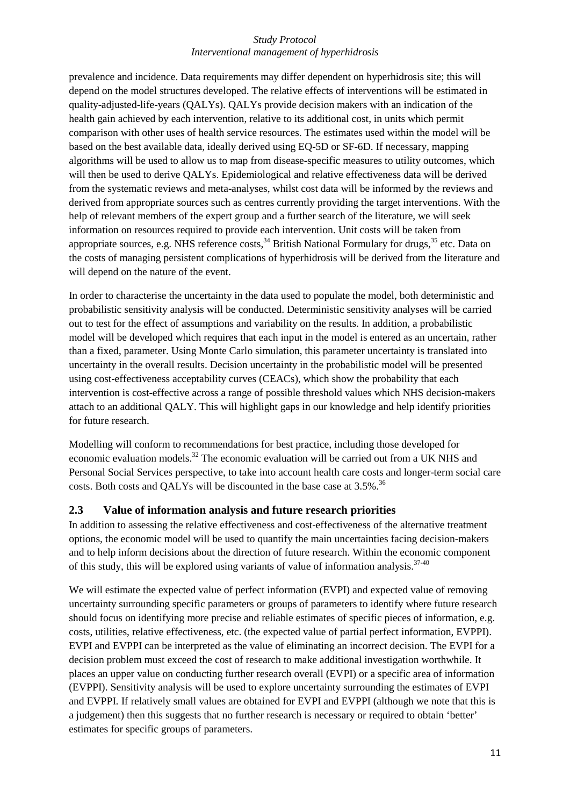prevalence and incidence. Data requirements may differ dependent on hyperhidrosis site; this will depend on the model structures developed. The relative effects of interventions will be estimated in quality-adjusted-life-years (QALYs). QALYs provide decision makers with an indication of the health gain achieved by each intervention, relative to its additional cost, in units which permit comparison with other uses of health service resources. The estimates used within the model will be based on the best available data, ideally derived using EQ-5D or SF-6D. If necessary, mapping algorithms will be used to allow us to map from disease-specific measures to utility outcomes, which will then be used to derive QALYs. Epidemiological and relative effectiveness data will be derived from the systematic reviews and meta-analyses, whilst cost data will be informed by the reviews and derived from appropriate sources such as centres currently providing the target interventions. With the help of relevant members of the expert group and a further search of the literature, we will seek information on resources required to provide each intervention. Unit costs will be taken from appropriate sources, e.g. NHS reference costs,<sup>34</sup> British National Formulary for drugs,<sup>35</sup> etc. Data on the costs of managing persistent complications of hyperhidrosis will be derived from the literature and will depend on the nature of the event.

In order to characterise the uncertainty in the data used to populate the model, both deterministic and probabilistic sensitivity analysis will be conducted. Deterministic sensitivity analyses will be carried out to test for the effect of assumptions and variability on the results. In addition, a probabilistic model will be developed which requires that each input in the model is entered as an uncertain, rather than a fixed, parameter. Using Monte Carlo simulation, this parameter uncertainty is translated into uncertainty in the overall results. Decision uncertainty in the probabilistic model will be presented using cost-effectiveness acceptability curves (CEACs), which show the probability that each intervention is cost-effective across a range of possible threshold values which NHS decision-makers attach to an additional QALY. This will highlight gaps in our knowledge and help identify priorities for future research.

Modelling will conform to recommendations for best practice, including those developed for economic evaluation models.<sup>32</sup> The economic evaluation will be carried out from a UK NHS and Personal Social Services perspective, to take into account health care costs and longer-term social care costs. Both costs and QALYs will be discounted in the base case at 3.5%.<sup>36</sup>

# **2.3 Value of information analysis and future research priorities**

In addition to assessing the relative effectiveness and cost-effectiveness of the alternative treatment options, the economic model will be used to quantify the main uncertainties facing decision-makers and to help inform decisions about the direction of future research. Within the economic component of this study, this will be explored using variants of value of information analysis.<sup>37-40</sup>

We will estimate the expected value of perfect information (EVPI) and expected value of removing uncertainty surrounding specific parameters or groups of parameters to identify where future research should focus on identifying more precise and reliable estimates of specific pieces of information, e.g. costs, utilities, relative effectiveness, etc. (the expected value of partial perfect information, EVPPI). EVPI and EVPPI can be interpreted as the value of eliminating an incorrect decision. The EVPI for a decision problem must exceed the cost of research to make additional investigation worthwhile. It places an upper value on conducting further research overall (EVPI) or a specific area of information (EVPPI). Sensitivity analysis will be used to explore uncertainty surrounding the estimates of EVPI and EVPPI. If relatively small values are obtained for EVPI and EVPPI (although we note that this is a judgement) then this suggests that no further research is necessary or required to obtain 'better' estimates for specific groups of parameters.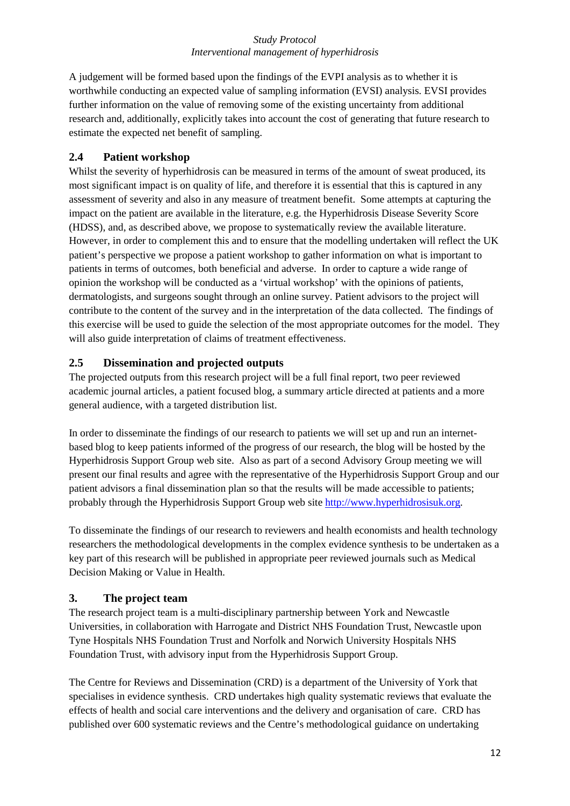A judgement will be formed based upon the findings of the EVPI analysis as to whether it is worthwhile conducting an expected value of sampling information (EVSI) analysis. EVSI provides further information on the value of removing some of the existing uncertainty from additional research and, additionally, explicitly takes into account the cost of generating that future research to estimate the expected net benefit of sampling.

# **2.4 Patient workshop**

Whilst the severity of hyperhidrosis can be measured in terms of the amount of sweat produced, its most significant impact is on quality of life, and therefore it is essential that this is captured in any assessment of severity and also in any measure of treatment benefit. Some attempts at capturing the impact on the patient are available in the literature, e.g. the Hyperhidrosis Disease Severity Score (HDSS), and, as described above, we propose to systematically review the available literature. However, in order to complement this and to ensure that the modelling undertaken will reflect the UK patient's perspective we propose a patient workshop to gather information on what is important to patients in terms of outcomes, both beneficial and adverse. In order to capture a wide range of opinion the workshop will be conducted as a 'virtual workshop' with the opinions of patients, dermatologists, and surgeons sought through an online survey. Patient advisors to the project will contribute to the content of the survey and in the interpretation of the data collected. The findings of this exercise will be used to guide the selection of the most appropriate outcomes for the model. They will also guide interpretation of claims of treatment effectiveness.

# **2.5 Dissemination and projected outputs**

The projected outputs from this research project will be a full final report, two peer reviewed academic journal articles, a patient focused blog, a summary article directed at patients and a more general audience, with a targeted distribution list.

In order to disseminate the findings of our research to patients we will set up and run an internetbased blog to keep patients informed of the progress of our research, the blog will be hosted by the Hyperhidrosis Support Group web site. Also as part of a second Advisory Group meeting we will present our final results and agree with the representative of the Hyperhidrosis Support Group and our patient advisors a final dissemination plan so that the results will be made accessible to patients; probably through the Hyperhidrosis Support Group web sit[e http://www.hyperhidrosisuk.org.](http://www.hyperhidrosisuk.org/)

To disseminate the findings of our research to reviewers and health economists and health technology researchers the methodological developments in the complex evidence synthesis to be undertaken as a key part of this research will be published in appropriate peer reviewed journals such as Medical Decision Making or Value in Health.

# **3. The project team**

The research project team is a multi-disciplinary partnership between York and Newcastle Universities, in collaboration with Harrogate and District NHS Foundation Trust, Newcastle upon Tyne Hospitals NHS Foundation Trust and Norfolk and Norwich University Hospitals NHS Foundation Trust, with advisory input from the Hyperhidrosis Support Group.

The Centre for Reviews and Dissemination (CRD) is a department of the University of York that specialises in evidence synthesis. CRD undertakes high quality systematic reviews that evaluate the effects of health and social care interventions and the delivery and organisation of care. CRD has published over 600 systematic reviews and the Centre's methodological guidance on undertaking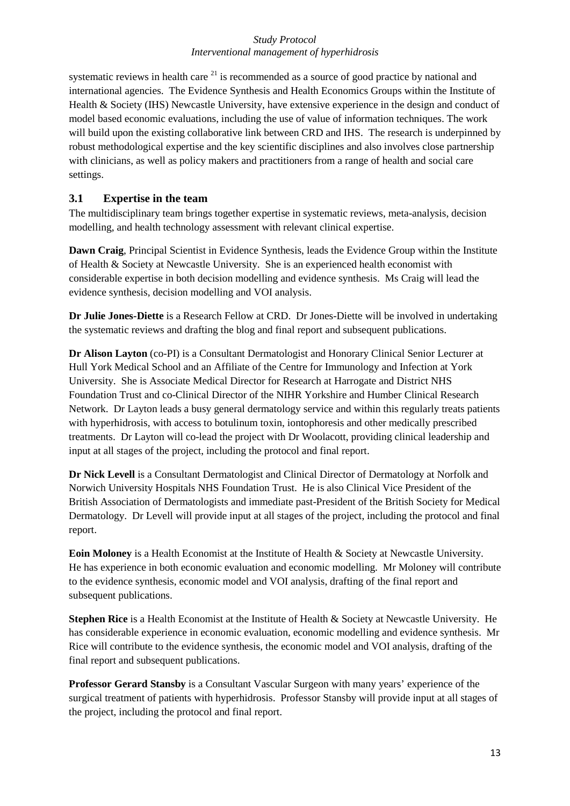systematic reviews in health care <sup>21</sup> is recommended as a source of good practice by national and international agencies. The Evidence Synthesis and Health Economics Groups within the Institute of Health & Society (IHS) Newcastle University, have extensive experience in the design and conduct of model based economic evaluations, including the use of value of information techniques. The work will build upon the existing collaborative link between CRD and IHS. The research is underpinned by robust methodological expertise and the key scientific disciplines and also involves close partnership with clinicians, as well as policy makers and practitioners from a range of health and social care settings.

# **3.1 Expertise in the team**

The multidisciplinary team brings together expertise in systematic reviews, meta-analysis, decision modelling, and health technology assessment with relevant clinical expertise.

**Dawn Craig**, Principal Scientist in Evidence Synthesis, leads the Evidence Group within the Institute of Health & Society at Newcastle University. She is an experienced health economist with considerable expertise in both decision modelling and evidence synthesis. Ms Craig will lead the evidence synthesis, decision modelling and VOI analysis.

**Dr Julie Jones-Diette** is a Research Fellow at CRD. Dr Jones-Diette will be involved in undertaking the systematic reviews and drafting the blog and final report and subsequent publications.

**Dr Alison Layton** (co-PI) is a Consultant Dermatologist and Honorary Clinical Senior Lecturer at Hull York Medical School and an Affiliate of the Centre for Immunology and Infection at York University. She is Associate Medical Director for Research at Harrogate and District NHS Foundation Trust and co-Clinical Director of the NIHR Yorkshire and Humber Clinical Research Network. Dr Layton leads a busy general dermatology service and within this regularly treats patients with hyperhidrosis, with access to botulinum toxin, iontophoresis and other medically prescribed treatments. Dr Layton will co-lead the project with Dr Woolacott, providing clinical leadership and input at all stages of the project, including the protocol and final report.

**Dr Nick Levell** is a Consultant Dermatologist and Clinical Director of Dermatology at Norfolk and Norwich University Hospitals NHS Foundation Trust. He is also Clinical Vice President of the British Association of Dermatologists and immediate past-President of the British Society for Medical Dermatology. Dr Levell will provide input at all stages of the project, including the protocol and final report.

**Eoin Moloney** is a Health Economist at the Institute of Health & Society at Newcastle University. He has experience in both economic evaluation and economic modelling. Mr Moloney will contribute to the evidence synthesis, economic model and VOI analysis, drafting of the final report and subsequent publications.

**Stephen Rice** is a Health Economist at the Institute of Health & Society at Newcastle University. He has considerable experience in economic evaluation, economic modelling and evidence synthesis. Mr Rice will contribute to the evidence synthesis, the economic model and VOI analysis, drafting of the final report and subsequent publications.

**Professor Gerard Stansby** is a Consultant Vascular Surgeon with many years' experience of the surgical treatment of patients with hyperhidrosis. Professor Stansby will provide input at all stages of the project, including the protocol and final report.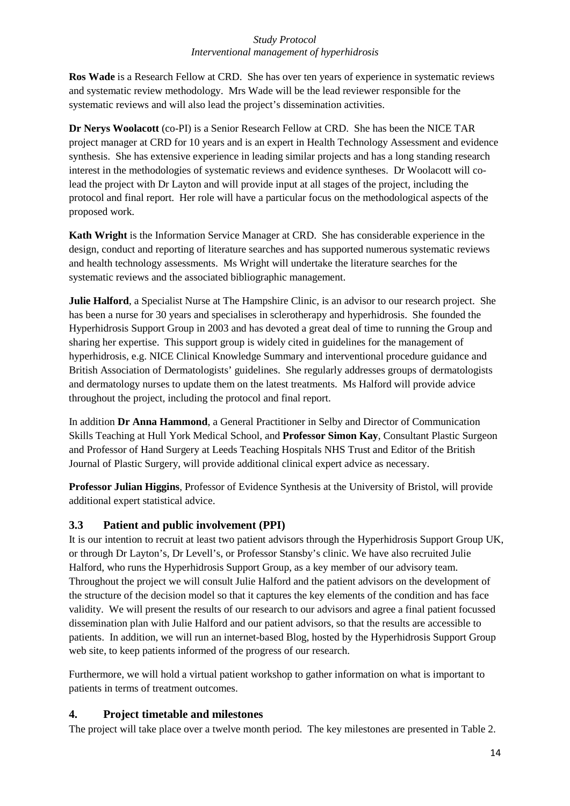**Ros Wade** is a Research Fellow at CRD. She has over ten years of experience in systematic reviews and systematic review methodology. Mrs Wade will be the lead reviewer responsible for the systematic reviews and will also lead the project's dissemination activities.

**Dr Nerys Woolacott** (co-PI) is a Senior Research Fellow at CRD. She has been the NICE TAR project manager at CRD for 10 years and is an expert in Health Technology Assessment and evidence synthesis. She has extensive experience in leading similar projects and has a long standing research interest in the methodologies of systematic reviews and evidence syntheses. Dr Woolacott will colead the project with Dr Layton and will provide input at all stages of the project, including the protocol and final report. Her role will have a particular focus on the methodological aspects of the proposed work.

**Kath Wright** is the Information Service Manager at CRD. She has considerable experience in the design, conduct and reporting of literature searches and has supported numerous systematic reviews and health technology assessments. Ms Wright will undertake the literature searches for the systematic reviews and the associated bibliographic management.

**Julie Halford**, a Specialist Nurse at The Hampshire Clinic, is an advisor to our research project. She has been a nurse for 30 years and specialises in sclerotherapy and hyperhidrosis. She founded the Hyperhidrosis Support Group in 2003 and has devoted a great deal of time to running the Group and sharing her expertise. This support group is widely cited in guidelines for the management of hyperhidrosis, e.g. NICE Clinical Knowledge Summary and interventional procedure guidance and British Association of Dermatologists' guidelines. She regularly addresses groups of dermatologists and dermatology nurses to update them on the latest treatments. Ms Halford will provide advice throughout the project, including the protocol and final report.

In addition **Dr Anna Hammond**, a General Practitioner in Selby and Director of Communication Skills Teaching at Hull York Medical School, and **Professor Simon Kay**, Consultant Plastic Surgeon and Professor of Hand Surgery at Leeds Teaching Hospitals NHS Trust and Editor of the British Journal of Plastic Surgery, will provide additional clinical expert advice as necessary.

**Professor Julian Higgins**, Professor of Evidence Synthesis at the University of Bristol, will provide additional expert statistical advice.

# **3.3 Patient and public involvement (PPI)**

It is our intention to recruit at least two patient advisors through the Hyperhidrosis Support Group UK, or through Dr Layton's, Dr Levell's, or Professor Stansby's clinic. We have also recruited Julie Halford, who runs the Hyperhidrosis Support Group, as a key member of our advisory team. Throughout the project we will consult Julie Halford and the patient advisors on the development of the structure of the decision model so that it captures the key elements of the condition and has face validity. We will present the results of our research to our advisors and agree a final patient focussed dissemination plan with Julie Halford and our patient advisors, so that the results are accessible to patients. In addition, we will run an internet-based Blog, hosted by the Hyperhidrosis Support Group web site, to keep patients informed of the progress of our research.

Furthermore, we will hold a virtual patient workshop to gather information on what is important to patients in terms of treatment outcomes.

# **4. Project timetable and milestones**

The project will take place over a twelve month period. The key milestones are presented in Table 2.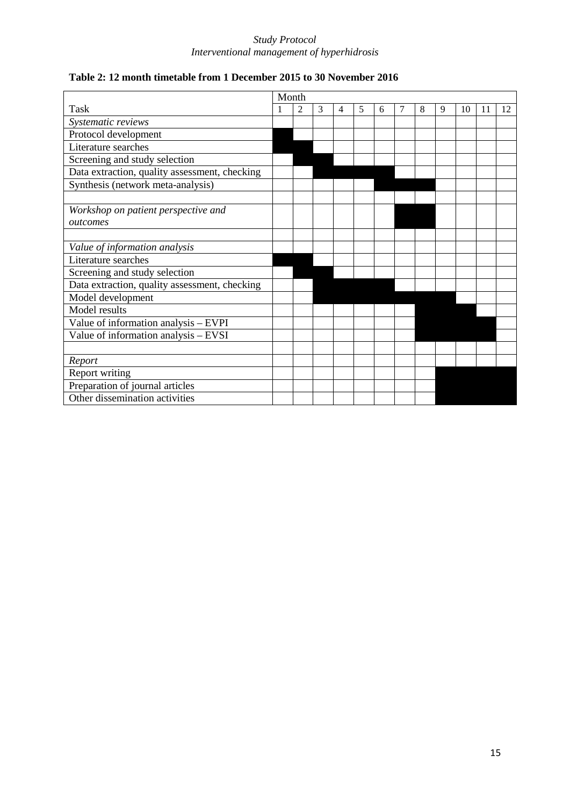| Table 2: 12 month timetable from 1 December 2015 to 30 November 2016 |  |  |
|----------------------------------------------------------------------|--|--|
|----------------------------------------------------------------------|--|--|

|                                               | Month |   |   |   |   |   |   |   |   |    |    |    |
|-----------------------------------------------|-------|---|---|---|---|---|---|---|---|----|----|----|
| Task                                          |       | 2 | 3 | 4 | 5 | 6 | 7 | 8 | 9 | 10 | 11 | 12 |
| Systematic reviews                            |       |   |   |   |   |   |   |   |   |    |    |    |
| Protocol development                          |       |   |   |   |   |   |   |   |   |    |    |    |
| Literature searches                           |       |   |   |   |   |   |   |   |   |    |    |    |
| Screening and study selection                 |       |   |   |   |   |   |   |   |   |    |    |    |
| Data extraction, quality assessment, checking |       |   |   |   |   |   |   |   |   |    |    |    |
| Synthesis (network meta-analysis)             |       |   |   |   |   |   |   |   |   |    |    |    |
|                                               |       |   |   |   |   |   |   |   |   |    |    |    |
| Workshop on patient perspective and           |       |   |   |   |   |   |   |   |   |    |    |    |
| outcomes                                      |       |   |   |   |   |   |   |   |   |    |    |    |
|                                               |       |   |   |   |   |   |   |   |   |    |    |    |
| Value of information analysis                 |       |   |   |   |   |   |   |   |   |    |    |    |
| Literature searches                           |       |   |   |   |   |   |   |   |   |    |    |    |
| Screening and study selection                 |       |   |   |   |   |   |   |   |   |    |    |    |
| Data extraction, quality assessment, checking |       |   |   |   |   |   |   |   |   |    |    |    |
| Model development                             |       |   |   |   |   |   |   |   |   |    |    |    |
| Model results                                 |       |   |   |   |   |   |   |   |   |    |    |    |
| Value of information analysis - EVPI          |       |   |   |   |   |   |   |   |   |    |    |    |
| Value of information analysis - EVSI          |       |   |   |   |   |   |   |   |   |    |    |    |
|                                               |       |   |   |   |   |   |   |   |   |    |    |    |
| Report                                        |       |   |   |   |   |   |   |   |   |    |    |    |
| Report writing                                |       |   |   |   |   |   |   |   |   |    |    |    |
| Preparation of journal articles               |       |   |   |   |   |   |   |   |   |    |    |    |
| Other dissemination activities                |       |   |   |   |   |   |   |   |   |    |    |    |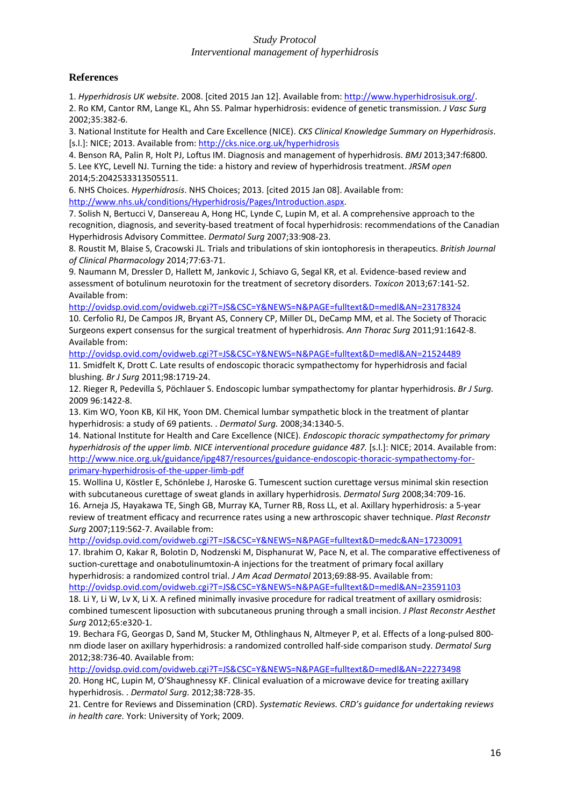#### **References**

1. *Hyperhidrosis UK website*. 2008. [cited 2015 Jan 12]. Available from: [http://www.hyperhidrosisuk.org/.](http://www.hyperhidrosisuk.org/)  2. Ro KM, Cantor RM, Lange KL, Ahn SS. Palmar hyperhidrosis: evidence of genetic transmission. *J Vasc Surg* 2002;35:382-6.

3. National Institute for Health and Care Excellence (NICE). *CKS Clinical Knowledge Summary on Hyperhidrosis*. [s.l.]: NICE; 2013. Available from[: http://cks.nice.org.uk/hyperhidrosis](http://cks.nice.org.uk/hyperhidrosis)

4. Benson RA, Palin R, Holt PJ, Loftus IM. Diagnosis and management of hyperhidrosis. *BMJ* 2013;347:f6800. 5. Lee KYC, Levell NJ. Turning the tide: a history and review of hyperhidrosis treatment. *JRSM open* 2014;5:2042533313505511.

6. NHS Choices. *Hyperhidrosis*. NHS Choices; 2013. [cited 2015 Jan 08]. Available from: [http://www.nhs.uk/conditions/Hyperhidrosis/Pages/Introduction.aspx.](http://www.nhs.uk/conditions/Hyperhidrosis/Pages/Introduction.aspx)

7. Solish N, Bertucci V, Dansereau A, Hong HC, Lynde C, Lupin M, et al. A comprehensive approach to the recognition, diagnosis, and severity-based treatment of focal hyperhidrosis: recommendations of the Canadian Hyperhidrosis Advisory Committee. *Dermatol Surg* 2007;33:908-23.

8. Roustit M, Blaise S, Cracowski JL. Trials and tribulations of skin iontophoresis in therapeutics. *British Journal of Clinical Pharmacology* 2014;77:63-71.

9. Naumann M, Dressler D, Hallett M, Jankovic J, Schiavo G, Segal KR, et al. Evidence-based review and assessment of botulinum neurotoxin for the treatment of secretory disorders. *Toxicon* 2013;67:141-52. Available from:

<http://ovidsp.ovid.com/ovidweb.cgi?T=JS&CSC=Y&NEWS=N&PAGE=fulltext&D=medl&AN=23178324>

10. Cerfolio RJ, De Campos JR, Bryant AS, Connery CP, Miller DL, DeCamp MM, et al. The Society of Thoracic Surgeons expert consensus for the surgical treatment of hyperhidrosis. *Ann Thorac Surg* 2011;91:1642-8. Available from:

<http://ovidsp.ovid.com/ovidweb.cgi?T=JS&CSC=Y&NEWS=N&PAGE=fulltext&D=medl&AN=21524489> 11. Smidfelt K, Drott C. Late results of endoscopic thoracic sympathectomy for hyperhidrosis and facial blushing. *Br J Surg* 2011;98:1719-24.

12. Rieger R, Pedevilla S, Pöchlauer S. Endoscopic lumbar sympathectomy for plantar hyperhidrosis. *Br J Surg.* 2009 96:1422-8.

13. Kim WO, Yoon KB, Kil HK, Yoon DM. Chemical lumbar sympathetic block in the treatment of plantar hyperhidrosis: a study of 69 patients. . *Dermatol Surg.* 2008;34:1340-5.

14. National Institute for Health and Care Excellence (NICE). *Endoscopic thoracic sympathectomy for primary hyperhidrosis of the upper limb. NICE interventional procedure guidance 487.* [s.l.]: NICE; 2014. Available from: [http://www.nice.org.uk/guidance/ipg487/resources/guidance-endoscopic-thoracic-sympathectomy-for](http://www.nice.org.uk/guidance/ipg487/resources/guidance-endoscopic-thoracic-sympathectomy-for-primary-hyperhidrosis-of-the-upper-limb-pdf)[primary-hyperhidrosis-of-the-upper-limb-pdf](http://www.nice.org.uk/guidance/ipg487/resources/guidance-endoscopic-thoracic-sympathectomy-for-primary-hyperhidrosis-of-the-upper-limb-pdf)

15. Wollina U, Köstler E, Schönlebe J, Haroske G. Tumescent suction curettage versus minimal skin resection with subcutaneous curettage of sweat glands in axillary hyperhidrosis. *Dermatol Surg* 2008;34:709-16. 16. Arneja JS, Hayakawa TE, Singh GB, Murray KA, Turner RB, Ross LL, et al. Axillary hyperhidrosis: a 5-year review of treatment efficacy and recurrence rates using a new arthroscopic shaver technique. *Plast Reconstr Surg* 2007;119:562-7. Available from:

<http://ovidsp.ovid.com/ovidweb.cgi?T=JS&CSC=Y&NEWS=N&PAGE=fulltext&D=medc&AN=17230091>

17. Ibrahim O, Kakar R, Bolotin D, Nodzenski M, Disphanurat W, Pace N, et al. The comparative effectiveness of suction-curettage and onabotulinumtoxin-A injections for the treatment of primary focal axillary hyperhidrosis: a randomized control trial. *J Am Acad Dermatol* 2013;69:88-95. Available from:

<http://ovidsp.ovid.com/ovidweb.cgi?T=JS&CSC=Y&NEWS=N&PAGE=fulltext&D=medl&AN=23591103>

18. Li Y, Li W, Lv X, Li X. A refined minimally invasive procedure for radical treatment of axillary osmidrosis: combined tumescent liposuction with subcutaneous pruning through a small incision. *J Plast Reconstr Aesthet Surg* 2012;65:e320-1.

19. Bechara FG, Georgas D, Sand M, Stucker M, Othlinghaus N, Altmeyer P, et al. Effects of a long-pulsed 800 nm diode laser on axillary hyperhidrosis: a randomized controlled half-side comparison study. *Dermatol Surg* 2012;38:736-40. Available from:

<http://ovidsp.ovid.com/ovidweb.cgi?T=JS&CSC=Y&NEWS=N&PAGE=fulltext&D=medl&AN=22273498>

20. Hong HC, Lupin M, O'Shaughnessy KF. Clinical evaluation of a microwave device for treating axillary hyperhidrosis. . *Dermatol Surg.* 2012;38:728-35.

21. Centre for Reviews and Dissemination (CRD). *Systematic Reviews. CRD's guidance for undertaking reviews in health care.* York: University of York; 2009.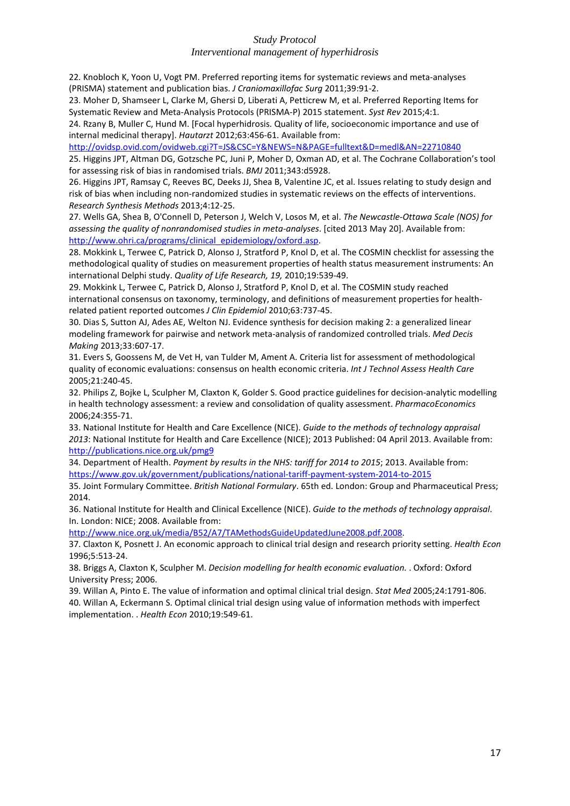# *Study Protocol*

### *Interventional management of hyperhidrosis*

22. Knobloch K, Yoon U, Vogt PM. Preferred reporting items for systematic reviews and meta-analyses (PRISMA) statement and publication bias. *J Craniomaxillofac Surg* 2011;39:91-2.

23. Moher D, Shamseer L, Clarke M, Ghersi D, Liberati A, Petticrew M, et al. Preferred Reporting Items for Systematic Review and Meta-Analysis Protocols (PRISMA-P) 2015 statement. *Syst Rev* 2015;4:1.

24. Rzany B, Muller C, Hund M. [Focal hyperhidrosis. Quality of life, socioeconomic importance and use of internal medicinal therapy]. *Hautarzt* 2012;63:456-61. Available from:

<http://ovidsp.ovid.com/ovidweb.cgi?T=JS&CSC=Y&NEWS=N&PAGE=fulltext&D=medl&AN=22710840>

25. Higgins JPT, Altman DG, Gotzsche PC, Juni P, Moher D, Oxman AD, et al. The Cochrane Collaboration's tool for assessing risk of bias in randomised trials. *BMJ* 2011;343:d5928.

26. Higgins JPT, Ramsay C, Reeves BC, Deeks JJ, Shea B, Valentine JC, et al. Issues relating to study design and risk of bias when including non-randomized studies in systematic reviews on the effects of interventions. *Research Synthesis Methods* 2013;4:12-25.

27. Wells GA, Shea B, O'Connell D, Peterson J, Welch V, Losos M, et al. *The Newcastle-Ottawa Scale (NOS) for assessing the quality of nonrandomised studies in meta-analyses*. [cited 2013 May 20]. Available from: [http://www.ohri.ca/programs/clinical\\_epidemiology/oxford.asp.](http://www.ohri.ca/programs/clinical_epidemiology/oxford.asp)

28. Mokkink L, Terwee C, Patrick D, Alonso J, Stratford P, Knol D, et al. The COSMIN checklist for assessing the methodological quality of studies on measurement properties of health status measurement instruments: An international Delphi study. *Quality of Life Research, 19,* 2010;19:539-49.

29. Mokkink L, Terwee C, Patrick D, Alonso J, Stratford P, Knol D, et al. The COSMIN study reached international consensus on taxonomy, terminology, and definitions of measurement properties for healthrelated patient reported outcomes *J Clin Epidemiol* 2010;63:737-45.

30. Dias S, Sutton AJ, Ades AE, Welton NJ. Evidence synthesis for decision making 2: a generalized linear modeling framework for pairwise and network meta-analysis of randomized controlled trials. *Med Decis Making* 2013;33:607-17.

31. Evers S, Goossens M, de Vet H, van Tulder M, Ament A. Criteria list for assessment of methodological quality of economic evaluations: consensus on health economic criteria. *Int J Technol Assess Health Care* 2005;21:240-45.

32. Philips Z, Bojke L, Sculpher M, Claxton K, Golder S. Good practice guidelines for decision-analytic modelling in health technology assessment: a review and consolidation of quality assessment. *PharmacoEconomics* 2006;24:355-71.

33. National Institute for Health and Care Excellence (NICE). *Guide to the methods of technology appraisal 2013*: National Institute for Health and Care Excellence (NICE); 2013 Published: 04 April 2013. Available from: <http://publications.nice.org.uk/pmg9>

34. Department of Health. *Payment by results in the NHS: tariff for 2014 to 2015*; 2013. Available from: <https://www.gov.uk/government/publications/national-tariff-payment-system-2014-to-2015>

35. Joint Formulary Committee. *British National Formulary*. 65th ed. London: Group and Pharmaceutical Press; 2014.

36. National Institute for Health and Clinical Excellence (NICE). *Guide to the methods of technology appraisal*. In. London: NICE; 2008. Available from:

[http://www.nice.org.uk/media/B52/A7/TAMethodsGuideUpdatedJune2008.pdf.2008.](http://www.nice.org.uk/media/B52/A7/TAMethodsGuideUpdatedJune2008.pdf.2008)

37. Claxton K, Posnett J. An economic approach to clinical trial design and research priority setting. *Health Econ* 1996;5:513-24.

38. Briggs A, Claxton K, Sculpher M. *Decision modelling for health economic evaluation.* . Oxford: Oxford University Press; 2006.

39. Willan A, Pinto E. The value of information and optimal clinical trial design. *Stat Med* 2005;24:1791-806. 40. Willan A, Eckermann S. Optimal clinical trial design using value of information methods with imperfect implementation. . *Health Econ* 2010;19:549-61.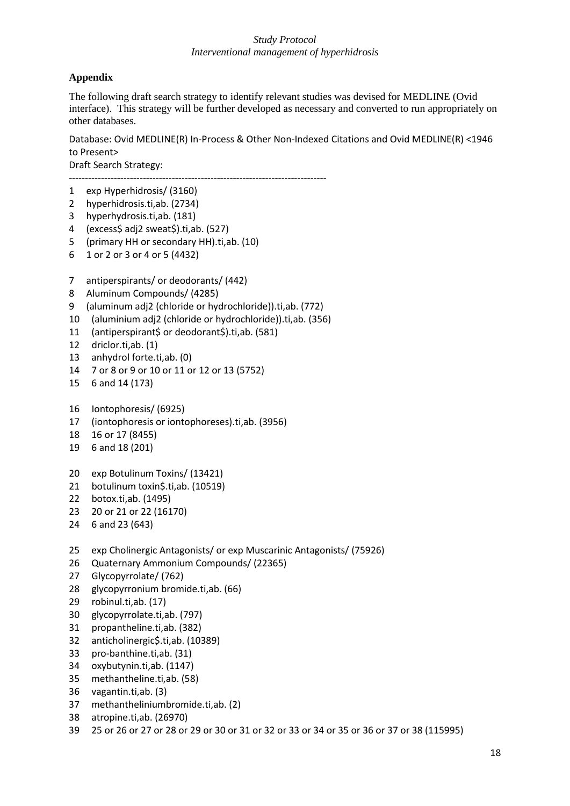# **Appendix**

The following draft search strategy to identify relevant studies was devised for MEDLINE (Ovid interface). This strategy will be further developed as necessary and converted to run appropriately on other databases.

Database: Ovid MEDLINE(R) In-Process & Other Non-Indexed Citations and Ovid MEDLINE(R) <1946 to Present>

Draft Search Strategy:

--------------------------------------------------------------------------------

- 1 exp Hyperhidrosis/ (3160)
- 2 hyperhidrosis.ti,ab. (2734)
- 3 hyperhydrosis.ti,ab. (181)
- 4 (excess\$ adj2 sweat\$).ti,ab. (527)
- 5 (primary HH or secondary HH).ti,ab. (10)
- 6 1 or 2 or 3 or 4 or 5 (4432)
- 7 antiperspirants/ or deodorants/ (442)
- 8 Aluminum Compounds/ (4285)
- 9 (aluminum adj2 (chloride or hydrochloride)).ti,ab. (772)
- 10 (aluminium adj2 (chloride or hydrochloride)).ti,ab. (356)
- 11 (antiperspirant\$ or deodorant\$).ti,ab. (581)
- 12 driclor.ti,ab. (1)
- 13 anhydrol forte.ti,ab. (0)
- 14 7 or 8 or 9 or 10 or 11 or 12 or 13 (5752)
- 15 6 and 14 (173)
- 16 Iontophoresis/ (6925)
- 17 (iontophoresis or iontophoreses).ti,ab. (3956)
- 18 16 or 17 (8455)
- 19 6 and 18 (201)
- 20 exp Botulinum Toxins/ (13421)
- 21 botulinum toxin\$.ti,ab. (10519)
- 22 botox.ti,ab. (1495)
- 23 20 or 21 or 22 (16170)
- 24 6 and 23 (643)
- 25 exp Cholinergic Antagonists/ or exp Muscarinic Antagonists/ (75926)
- 26 Quaternary Ammonium Compounds/ (22365)
- 27 Glycopyrrolate/ (762)
- 28 glycopyrronium bromide.ti,ab. (66)
- 29 robinul.ti,ab. (17)
- 30 glycopyrrolate.ti,ab. (797)
- 31 propantheline.ti,ab. (382)
- 32 anticholinergic\$.ti,ab. (10389)
- 33 pro-banthine.ti,ab. (31)
- 34 oxybutynin.ti,ab. (1147)
- 35 methantheline.ti,ab. (58)
- 36 vagantin.ti,ab. (3)
- 37 methantheliniumbromide.ti,ab. (2)
- 38 atropine.ti,ab. (26970)
- 39 25 or 26 or 27 or 28 or 29 or 30 or 31 or 32 or 33 or 34 or 35 or 36 or 37 or 38 (115995)